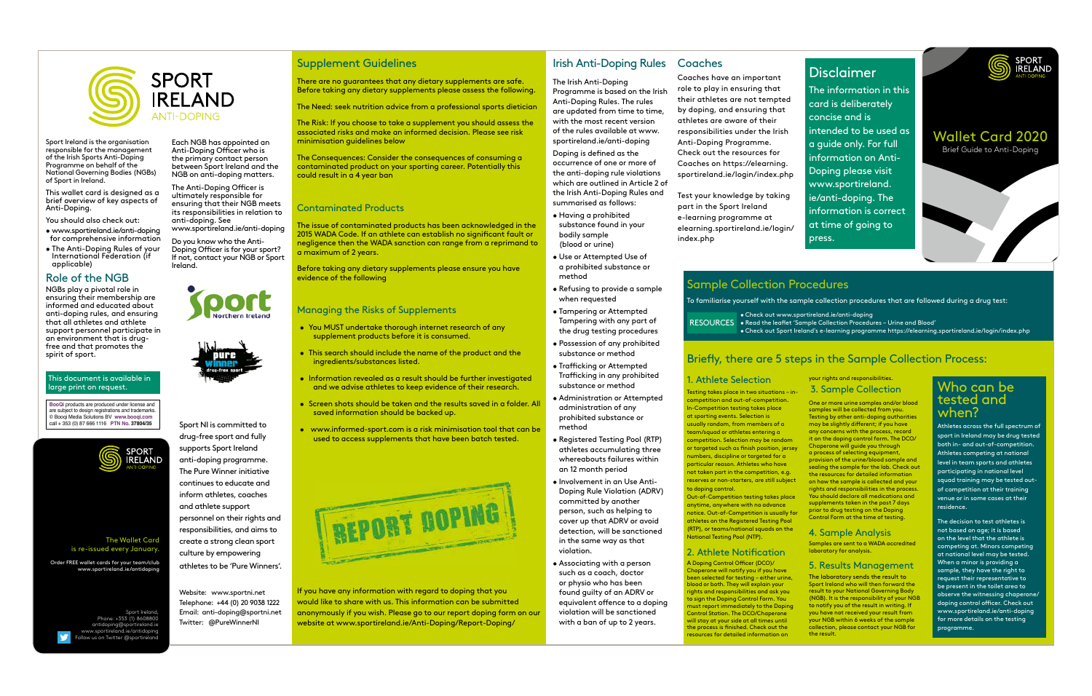Coaches have an important role to play in ensuring that their athletes are not tempted by doping, and ensuring that athletes are aware of their responsibilities under the Irish Anti-Doping Programme. Check out the resources for Coaches on https://elearning. sportireland.ie/login/index.php

Test your knowledge by taking part in the Sport Ireland e-learning programme at elearning.sportireland.ie/login/ index.php

#### 1. Athlete Selection

Testing takes place in two situations – incompetition and out-of-competition. In-Competition testing takes place at sporting events. Selection is usually random, from members of a team/squad or athletes entering a competition. Selection may be random or targeted such as finish position, jersey numbers, discipline or targeted for a particular reason. Athletes who have not taken part in the competition, e.g. reserves or non-starters, are still subject to doping control.

A Doping Control Officer (DCO)/ Chaperone will notify you if you have been selected for testing – either urine, blood or both. They will explain your rights and responsibilities and ask you to sign the Doping Control Form. You must report immediately to the Doping Control Station. The DCO/Chaperone will stay at your side at all times until the process is finished. Check out the resources for detailed information on

One or more urine samples and/or blood samples will be collected from you. Testing by other anti-doping authorities may be slightly different; if you have any concerns with the process, record it on the doping control form. The DCO/ Chaperone will guide you through a process of selecting equipment, provision of the urine/blood sample and sealing the sample for the lab. Check out the resources for detailed information on how the sample is collected and your rights and responsibilities in the process. You should declare all medications and supplements taken in the past 7 days prior to drug testing on the Doping .<br>Control Form at the time of testing

Out-of-Competition testing takes place anytime, anywhere with no advance notice. Out-of-Competition is usually for athletes on the Registered Testing Pool (RTP), or teams/national squads on the National Testing Pool (NTP).

## 2. Athlete Notification

#### your rights and responsibilities. 3. Sample Collection

The decision to test ath<u>letes is </u> not based on age; it is based on the level that the athlete is competing at. Minors competing at national level may be tested. When a minor is providing a sample, they have the right to request their representative to be present in the toilet area to observe the witnessing chaperone/ doping control officer. Check out www.sportireland.ie/anti-doping for more details on the testing programme.

## 4. Sample Analysis

Samples are sent to a WADA accredited laboratory for analysis.

The Anti-Doping Officer is ultimately responsible for ensuring that their NGB meets its responsibilities in relation to anti-doping. See www.sportireland.ie/anti-doping

## 5. Results Management

The laboratory sends the result to Sport Ireland who will then forward the result to your National Governing Body (NGB). It is the responsibility of your NGB to notify you of the result in writing. If you have not received your result from your NGB within 6 weeks of the sample collection, please contact your NGB for the result.

# Who can be tested and when?

Athletes across the full spectrum of sport in Ireland may be drug tested both in- and out-of-competition. Athletes competing at national level in team sports and athletes participating in national level squad training may be tested outof competition at their training venue or in some cases at their residence.

# Disclaimer

The information in this card is deliberately concise and is intended to be used as a guide only. For full information on Anti-Doping please visit www.sportireland. ie/anti-doping. The information is correct at time of going to press.



Sport Ireland is the organisation responsible for the management of the Irish Sports Anti-Doping Programme on behalf of the National Governing Bodies (NGBs) of Sport in Ireland.

This wallet card is designed as a brief overview of key aspects of Anti-Doping.

You should also check out:

- www.sportireland.ie/anti-doping for comprehensive information
- The Anti-Doping Rules of your International Federation (if applicable)

## Role of the NGB

NGBs play a pivotal role in ensuring their membership are informed and educated about anti-doping rules, and ensuring that all athletes and athlete support personnel participate in an environment that is drugfree and that promotes the spirit of sport.

Each NGB has appointed an Anti-Doping Officer who is the primary contact person between Sport Ireland and the NGB on anti-doping matters.

Do you know who the Anti-Doping Officer is for your sport? If not, contact your NGB or Sport Ireland.





The Irish Anti-Doping Programme is based on the Irish Anti-Doping Rules. The rules are updated from time to time, with the most recent version of the rules available at www. sportireland.ie/anti-doping Doping is defined as the occurrence of one or more of the anti-doping rule violations which are outlined in Article 2 of the Irish Anti-Doping Rules and summarised as follows:

- Having a prohibited substance found in your bodily sample (blood or urine)
- Use or Attempted Use of a prohibited substance or method
- Refusing to provide a sample when requested
- Tampering or Attempted Tampering with any part of the drug testing procedures
- Possession of any prohibited substance or method
- Trafficking or Attempted Trafficking in any prohibited substance or method
- Administration or Attempted administration of any prohibited substance or method
- Registered Testing Pool (RTP) athletes accumulating three whereabouts failures within an 12 month period
- Involvement in an Use Anti-Doping Rule Violation (ADRV) committed by another person, such as helping to cover up that ADRV or avoid detection, will be sanctioned in the same way as that violation.
- Associating with a person such as a coach, doctor or physio who has been found guilty of an ADRV or equivalent offence to a doping violation will be sanctioned with a ban of up to 2 years.

#### Supplement Guidelines

There are no guarantees that any dietary supplements are safe. Before taking any dietary supplements please assess the following.

The Need: seek nutrition advice from a professional sports dietician

The Risk: If you choose to take a supplement you should assess the associated risks and make an informed decision. Please see risk minimisation guidelines below

The Consequences: Consider the consequences of consuming a contaminated product on your sporting career. Potentially this could result in a 4 year ban

#### Contaminated Products

The issue of contaminated products has been acknowledged in the 2015 WADA Code. If an athlete can establish no significant fault or negligence then the WADA sanction can range from a reprimand to a maximum of 2 years.

Before taking any dietary supplements please ensure you have evidence of the following

## Managing the Risks of Supplements

- You MUST undertake thorough internet research of any supplement products before it is consumed.
- This search should include the name of the product and the ingredients/substances listed.
- Information revealed as a result should be further investigated and we advise athletes to keep evidence of their research.
- Screen shots should be taken and the results saved in a folder. All saved information should be backed up.
- www.informed-sport.com is a risk minimisation tool that can be used to access supplements that have been batch tested.



If you have any information with regard to doping that you would like to share with us. This information can be submitted anonymously if you wish. Please go to our report doping form on our website at www.sportireland.ie/Anti-Doping/Report-Doping/

## Irish Anti-Doping Rules Coaches

#### This document is available in large print on request.

# Sample Collection Procedures

# Briefly, there are 5 steps in the Sample Collection Process:

To familiarise yourself with the sample collection procedures that are followed during a drug test:

• Check out www.sportireland.ie/anti-doping RESOURCES • Read the leaflet 'Sample Collection Procedures – Urine and Blood' • Check out Sport Ireland's e-learning programme https://elearning.sportireland.ie/login/index.php

**BooQi** products are produced under license and are subject to design registrations and trademarks. © Booqi Media Solutions BV **www.booqi.com** call + 353 (0) 87 666 1116 **PTN No. 37804/35**





Sport NI is committed to drug-free sport and fully supports Sport Ireland anti-doping programme. The Pure Winner initiative continues to educate and inform athletes, coaches and athlete support personnel on their rights and responsibilities, and aims to create a strong clean sport culture by empowering athletes to be 'Pure Winners'.

Website: www.sportni.net Telephone: +44 (0) 20 9038 1222 Email: anti-doping@sportni.net Twitter: @PureWinnerNI

The Wallet Card is re-issued every January.

Order FREE wallet cards for your team/club www.sportireland.ie/antidoping

Sport Ireland, Phone: +353 (1) 8608800 antidoping@sportireland.ie www.sportireland.ie/antidoping Follow us on Twitter @sportireland

# Wallet Card 2020 Brief Guide to Anti-Doping